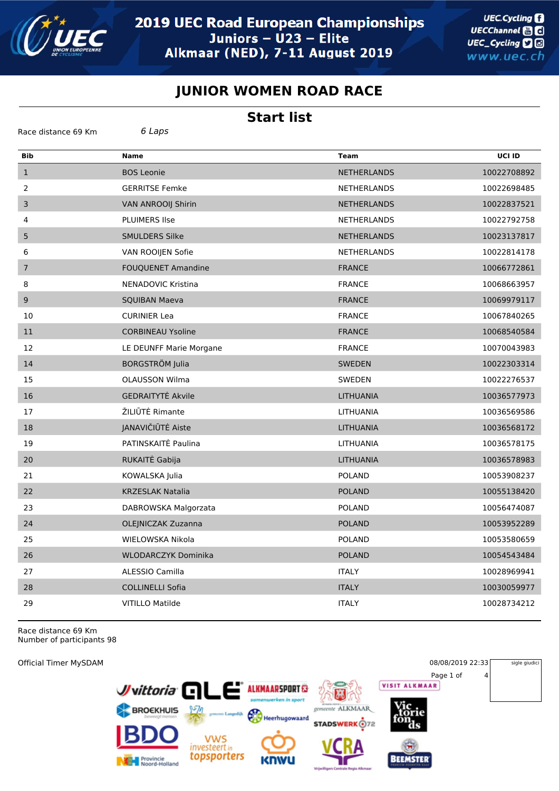

## **JUNIOR WOMEN ROAD RACE**

## **Start list**

| 6 Laps<br>Race distance 69 Km |                            |                    |             |  |
|-------------------------------|----------------------------|--------------------|-------------|--|
| <b>Bib</b>                    | <b>Name</b>                | <b>Team</b>        | UCI ID      |  |
| $\mathbf{1}$                  | <b>BOS Leonie</b>          | <b>NETHERLANDS</b> | 10022708892 |  |
| 2                             | <b>GERRITSE Femke</b>      | <b>NETHERLANDS</b> | 10022698485 |  |
| $\mathsf{3}$                  | <b>VAN ANROOII Shirin</b>  | <b>NETHERLANDS</b> | 10022837521 |  |
| 4                             | <b>PLUIMERS Ilse</b>       | <b>NETHERLANDS</b> | 10022792758 |  |
| 5                             | SMULDERS Silke             | <b>NETHERLANDS</b> | 10023137817 |  |
| 6                             | VAN ROOIJEN Sofie          | <b>NETHERLANDS</b> | 10022814178 |  |
| $\sqrt{ }$                    | <b>FOUQUENET Amandine</b>  | <b>FRANCE</b>      | 10066772861 |  |
| 8                             | NENADOVIC Kristina         | <b>FRANCE</b>      | 10068663957 |  |
| $\boldsymbol{9}$              | <b>SQUIBAN Maeva</b>       | <b>FRANCE</b>      | 10069979117 |  |
| 10                            | <b>CURINIER Lea</b>        | <b>FRANCE</b>      | 10067840265 |  |
| 11                            | <b>CORBINEAU Ysoline</b>   | <b>FRANCE</b>      | 10068540584 |  |
| 12                            | LE DEUNFF Marie Morgane    | <b>FRANCE</b>      | 10070043983 |  |
| 14                            | <b>BORGSTRÖM Julia</b>     | <b>SWEDEN</b>      | 10022303314 |  |
| 15                            | <b>OLAUSSON Wilma</b>      | SWEDEN             | 10022276537 |  |
| 16                            | <b>GEDRAITYTE Akvile</b>   | <b>LITHUANIA</b>   | 10036577973 |  |
| 17                            | ŽILIŪTĖ Rimante            | LITHUANIA          | 10036569586 |  |
| 18                            | JANAVIČIŪTĖ Aiste          | <b>LITHUANIA</b>   | 10036568172 |  |
| 19                            | PATINSKAITĖ Paulina        | <b>LITHUANIA</b>   | 10036578175 |  |
| 20                            | RUKAITĖ Gabija             | <b>LITHUANIA</b>   | 10036578983 |  |
| 21                            | KOWALSKA Julia             | <b>POLAND</b>      | 10053908237 |  |
| 22                            | <b>KRZESLAK Natalia</b>    | <b>POLAND</b>      | 10055138420 |  |
| 23                            | DABROWSKA Malgorzata       | <b>POLAND</b>      | 10056474087 |  |
| 24                            | OLEJNICZAK Zuzanna         | <b>POLAND</b>      | 10053952289 |  |
| 25                            | WIELOWSKA Nikola           | <b>POLAND</b>      | 10053580659 |  |
| 26                            | <b>WLODARCZYK Dominika</b> | <b>POLAND</b>      | 10054543484 |  |
| 27                            | ALESSIO Camilla            | <b>ITALY</b>       | 10028969941 |  |
| 28                            | <b>COLLINELLI Sofia</b>    | <b>ITALY</b>       | 10030059977 |  |
| 29                            | <b>VITILLO Matilde</b>     | <b>ITALY</b>       | 10028734212 |  |

Race distance 69 Km Number of participants 98

**Official Timer MySDAM** 

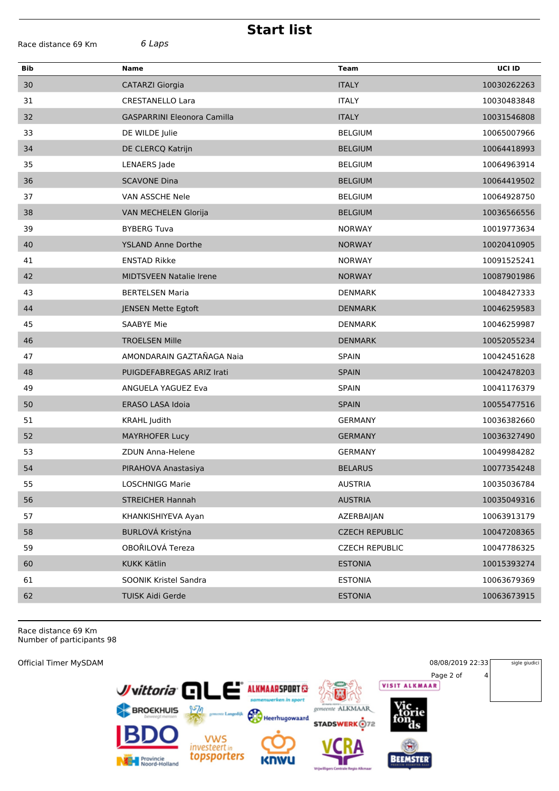| <b>Start list</b>   |                                    |                       |             |  |  |  |  |
|---------------------|------------------------------------|-----------------------|-------------|--|--|--|--|
| Race distance 69 Km | 6 Laps                             |                       |             |  |  |  |  |
| Bib                 | Name                               | <b>Team</b>           | UCI ID      |  |  |  |  |
| 30                  | <b>CATARZI Giorgia</b>             | <b>ITALY</b>          | 10030262263 |  |  |  |  |
| 31                  | <b>CRESTANELLO Lara</b>            | <b>ITALY</b>          | 10030483848 |  |  |  |  |
| 32                  | <b>GASPARRINI Eleonora Camilla</b> | <b>ITALY</b>          | 10031546808 |  |  |  |  |
| 33                  | DE WILDE Julie                     | <b>BELGIUM</b>        | 10065007966 |  |  |  |  |
| 34                  | DE CLERCQ Katrijn                  | <b>BELGIUM</b>        | 10064418993 |  |  |  |  |
| 35                  | LENAERS Jade                       | <b>BELGIUM</b>        | 10064963914 |  |  |  |  |
| 36                  | <b>SCAVONE Dina</b>                | <b>BELGIUM</b>        | 10064419502 |  |  |  |  |
| 37                  | VAN ASSCHE Nele                    | <b>BELGIUM</b>        | 10064928750 |  |  |  |  |
| 38                  | VAN MECHELEN Glorija               | <b>BELGIUM</b>        | 10036566556 |  |  |  |  |
| 39                  | <b>BYBERG Tuva</b>                 | <b>NORWAY</b>         | 10019773634 |  |  |  |  |
| 40                  | <b>YSLAND Anne Dorthe</b>          | <b>NORWAY</b>         | 10020410905 |  |  |  |  |
| 41                  | <b>ENSTAD Rikke</b>                | <b>NORWAY</b>         | 10091525241 |  |  |  |  |
| 42                  | <b>MIDTSVEEN Natalie Irene</b>     | <b>NORWAY</b>         | 10087901986 |  |  |  |  |
| 43                  | <b>BERTELSEN Maria</b>             | <b>DENMARK</b>        | 10048427333 |  |  |  |  |
| 44                  | <b>JENSEN Mette Egtoft</b>         | <b>DENMARK</b>        | 10046259583 |  |  |  |  |
| 45                  | <b>SAABYE Mie</b>                  | <b>DENMARK</b>        | 10046259987 |  |  |  |  |
| 46                  | <b>TROELSEN Mille</b>              | <b>DENMARK</b>        | 10052055234 |  |  |  |  |
| 47                  | AMONDARAIN GAZTAÑAGA Naia          | <b>SPAIN</b>          | 10042451628 |  |  |  |  |
| 48                  | PUIGDEFABREGAS ARIZ Irati          | <b>SPAIN</b>          | 10042478203 |  |  |  |  |
| 49                  | <b>ANGUELA YAGUEZ Eva</b>          | <b>SPAIN</b>          | 10041176379 |  |  |  |  |
| 50                  | ERASO LASA Idoia                   | <b>SPAIN</b>          | 10055477516 |  |  |  |  |
| 51                  | <b>KRAHL Judith</b>                | <b>GERMANY</b>        | 10036382660 |  |  |  |  |
| 52                  | <b>MAYRHOFER Lucy</b>              | <b>GERMANY</b>        | 10036327490 |  |  |  |  |
| 53                  | ZDUN Anna-Helene                   | <b>GERMANY</b>        | 10049984282 |  |  |  |  |
| 54                  | PIRAHOVA Anastasiya                | <b>BELARUS</b>        | 10077354248 |  |  |  |  |
| 55                  | <b>LOSCHNIGG Marie</b>             | <b>AUSTRIA</b>        | 10035036784 |  |  |  |  |
| 56                  | <b>STREICHER Hannah</b>            | <b>AUSTRIA</b>        | 10035049316 |  |  |  |  |
| 57                  | KHANKISHIYEVA Ayan                 | AZERBAIJAN            | 10063913179 |  |  |  |  |
| 58                  | BURLOVÁ Kristýna                   | <b>CZECH REPUBLIC</b> | 10047208365 |  |  |  |  |
| 59                  | OBOŘILOVÁ Tereza                   | <b>CZECH REPUBLIC</b> | 10047786325 |  |  |  |  |
| 60                  | <b>KUKK Kätlin</b>                 | <b>ESTONIA</b>        | 10015393274 |  |  |  |  |
| 61                  | SOONIK Kristel Sandra              | <b>ESTONIA</b>        | 10063679369 |  |  |  |  |
| 62                  | TUISK Aidi Gerde                   | <b>ESTONIA</b>        | 10063673915 |  |  |  |  |
|                     |                                    |                       |             |  |  |  |  |

Race distance 69 Km Number of participants 98

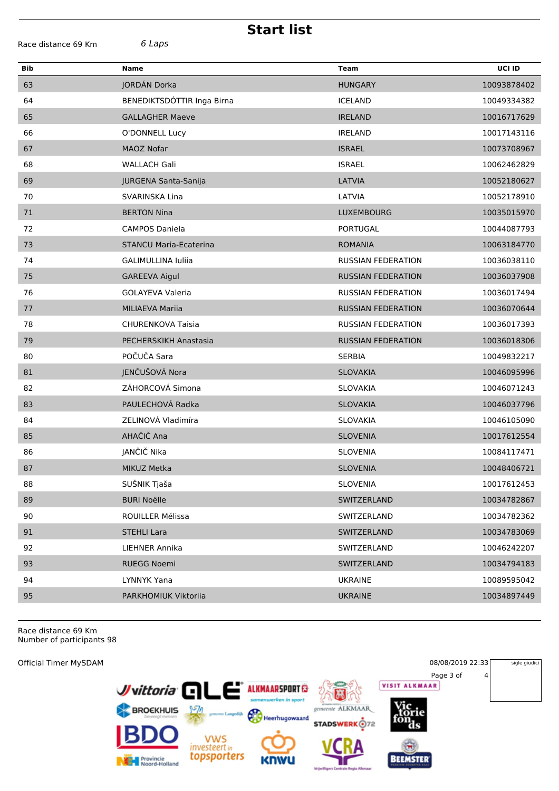| <b>Start list</b>             |                               |                           |             |  |  |  |
|-------------------------------|-------------------------------|---------------------------|-------------|--|--|--|
| 6 Laps<br>Race distance 69 Km |                               |                           |             |  |  |  |
| <b>Bib</b>                    | <b>Name</b>                   | <b>Team</b>               | UCI ID      |  |  |  |
| 63                            | JORDÁN Dorka                  | <b>HUNGARY</b>            | 10093878402 |  |  |  |
| 64                            | BENEDIKTSDÓTTIR Inga Birna    | <b>ICELAND</b>            | 10049334382 |  |  |  |
| 65                            | <b>GALLAGHER Maeve</b>        | <b>IRELAND</b>            | 10016717629 |  |  |  |
| 66                            | O'DONNELL Lucy                | <b>IRELAND</b>            | 10017143116 |  |  |  |
| 67                            | <b>MAOZ Nofar</b>             | <b>ISRAEL</b>             | 10073708967 |  |  |  |
| 68                            | <b>WALLACH Gali</b>           | <b>ISRAEL</b>             | 10062462829 |  |  |  |
| 69                            | JURGENA Santa-Sanija          | LATVIA                    | 10052180627 |  |  |  |
| 70                            | SVARINSKA Lina                | LATVIA                    | 10052178910 |  |  |  |
| 71                            | <b>BERTON Nina</b>            | LUXEMBOURG                | 10035015970 |  |  |  |
| 72                            | <b>CAMPOS Daniela</b>         | PORTUGAL                  | 10044087793 |  |  |  |
| 73                            | <b>STANCU Maria-Ecaterina</b> | <b>ROMANIA</b>            | 10063184770 |  |  |  |
| 74                            | <b>GALIMULLINA Iuliia</b>     | <b>RUSSIAN FEDERATION</b> | 10036038110 |  |  |  |
| 75                            | <b>GAREEVA Aigul</b>          | <b>RUSSIAN FEDERATION</b> | 10036037908 |  |  |  |
| 76                            | <b>GOLAYEVA Valeria</b>       | <b>RUSSIAN FEDERATION</b> | 10036017494 |  |  |  |
| 77                            | <b>MILIAEVA Marija</b>        | <b>RUSSIAN FEDERATION</b> | 10036070644 |  |  |  |
| 78                            | <b>CHURENKOVA Taisia</b>      | <b>RUSSIAN FEDERATION</b> | 10036017393 |  |  |  |
| 79                            | PECHERSKIKH Anastasia         | <b>RUSSIAN FEDERATION</b> | 10036018306 |  |  |  |
| 80                            | POČUČA Sara                   | <b>SERBIA</b>             | 10049832217 |  |  |  |
| 81                            | JENČUŠOVÁ Nora                | <b>SLOVAKIA</b>           | 10046095996 |  |  |  |
| 82                            | ZÁHORCOVÁ Simona              | <b>SLOVAKIA</b>           | 10046071243 |  |  |  |
| 83                            | PAULECHOVÁ Radka              | <b>SLOVAKIA</b>           | 10046037796 |  |  |  |
| 84                            | ZELINOVÁ Vladimíra            | SLOVAKIA                  | 10046105090 |  |  |  |
| 85                            | AHAČIČ Ana                    | <b>SLOVENIA</b>           | 10017612554 |  |  |  |
| 86                            | JANČIČ Nika                   | <b>SLOVENIA</b>           | 10084117471 |  |  |  |
| 87                            | MIKUZ Metka                   | <b>SLOVENIA</b>           | 10048406721 |  |  |  |
| 88                            | SUŠNIK Tjaša                  | <b>SLOVENIA</b>           | 10017612453 |  |  |  |
| 89                            | <b>BURI Noëlle</b>            | SWITZERLAND               | 10034782867 |  |  |  |
| 90                            | ROUILLER Mélissa              | SWITZERLAND               | 10034782362 |  |  |  |
| 91                            | <b>STEHLI Lara</b>            | SWITZERLAND               | 10034783069 |  |  |  |
| 92                            | <b>LIEHNER Annika</b>         | SWITZERLAND               | 10046242207 |  |  |  |
| 93                            | RUEGG Noemi                   | SWITZERLAND               | 10034794183 |  |  |  |
| 94                            | LYNNYK Yana                   | <b>UKRAINE</b>            | 10089595042 |  |  |  |
| 95                            | PARKHOMIUK Viktoriia          | <b>UKRAINE</b>            | 10034897449 |  |  |  |
|                               |                               |                           |             |  |  |  |

Race distance 69 Km<br>Number of participants 98